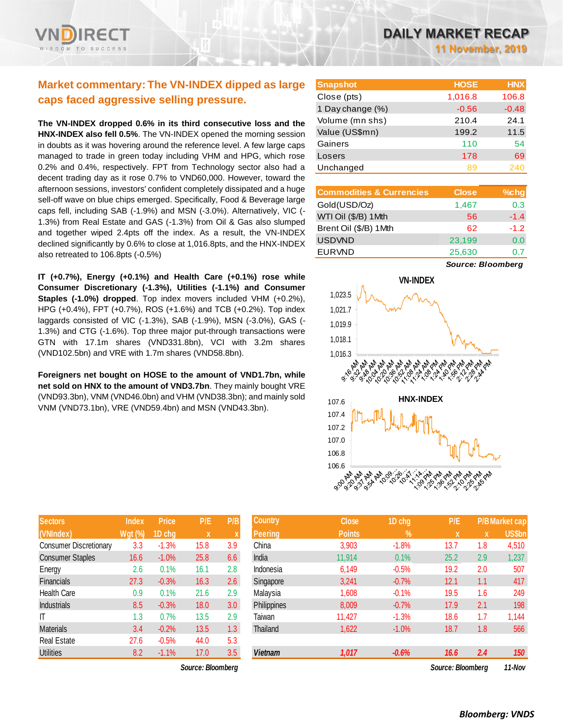## **Market commentary: The VN-INDEX dipped as large caps faced aggressive selling pressure.**

**The VN-INDEX dropped 0.6% in its third consecutive loss and the HNX-INDEX also fell 0.5%**. The VN-INDEX opened the morning session in doubts as it was hovering around the reference level. A few large caps managed to trade in green today including VHM and HPG, which rose 0.2% and 0.4%, respectively. FPT from Technology sector also had a decent trading day as it rose 0.7% to VND60,000. However, toward the afternoon sessions, investors' confident completely dissipated and a huge sell-off wave on blue chips emerged. Specifically, Food & Beverage large caps fell, including SAB (-1.9%) and MSN (-3.0%). Alternatively, VIC (- 1.3%) from Real Estate and GAS (-1.3%) from Oil & Gas also slumped and together wiped 2.4pts off the index. As a result, the VN-INDEX declined significantly by 0.6% to close at 1,016.8pts, and the HNX-INDEX also retreated to 106.8pts (-0.5%)

**IT (+0.7%), Energy (+0.1%) and Health Care (+0.1%) rose while Consumer Discretionary (-1.3%), Utilities (-1.1%) and Consumer Staples (-1.0%) dropped**. Top index movers included VHM (+0.2%), HPG (+0.4%), FPT (+0.7%), ROS (+1.6%) and TCB (+0.2%). Top index laggards consisted of VIC (-1.3%), SAB (-1.9%), MSN (-3.0%), GAS (- 1.3%) and CTG (-1.6%). Top three major put-through transactions were GTN with 17.1m shares (VND331.8bn), VCI with 3.2m shares (VND102.5bn) and VRE with 1.7m shares (VND58.8bn).

**Foreigners net bought on HOSE to the amount of VND1.7bn, while net sold on HNX to the amount of VND3.7bn**. They mainly bought VRE (VND93.3bn), VNM (VND46.0bn) and VHM (VND38.3bn); and mainly sold VNM (VND73.1bn), VRE (VND59.4bn) and MSN (VND43.3bn).

| <b>Sectors</b>                | <b>Index</b>   | <b>Price</b> | P/E  | P/B |
|-------------------------------|----------------|--------------|------|-----|
| (VNIndex)                     | <b>Wgt (%)</b> | 1D chg       | X    | X   |
| <b>Consumer Discretionary</b> | 3.3            | $-1.3%$      | 15.8 | 3.9 |
| <b>Consumer Staples</b>       | 16.6           | $-1.0%$      | 25.8 | 6.6 |
| Energy                        | 2.6            | 0.1%         | 16.1 | 2.8 |
| <b>Financials</b>             | 27.3           | $-0.3%$      | 16.3 | 2.6 |
| <b>Health Care</b>            | 0.9            | 0.1%         | 21.6 | 2.9 |
| <b>Industrials</b>            | 8.5            | $-0.3%$      | 18.0 | 3.0 |
| ıτ                            | 1.3            | 0.7%         | 13.5 | 2.9 |
| <b>Materials</b>              | 3.4            | $-0.2%$      | 13.5 | 1.3 |
| <b>Real Estate</b>            | 27.6           | $-0.5%$      | 44.0 | 5.3 |
| <b>Utilities</b>              | 8.2            | $-1.1%$      | 17.0 | 3.5 |

*Source: Bloomberg Source: Bloomberg 11-Nov*

**11 November, 2019**

| <b>Snapshot</b>  | <b>HOSE</b> | <b>HNX</b> |
|------------------|-------------|------------|
| Close (pts)      | 1,016.8     | 106.8      |
| 1 Day change (%) | $-0.56$     | $-0.48$    |
| Volume (mn shs)  | 210.4       | 24.1       |
| Value (US\$mn)   | 199.2       | 11.5       |
| Gainers          | 110         | 54         |
| Losers           | 178         | 69         |
| Unchanged        | 89          | 240        |

| <b>Commodities &amp; Currencies</b> | <b>Close</b> | $%$ chg |
|-------------------------------------|--------------|---------|
| Gold(USD/Oz)                        | 1,467        | 0.3     |
| WTI Oil (\$/B) 1 Mth                | 56           | $-1.4$  |
| Brent Oil (\$/B) 1Mth               | 62           | $-1.2$  |
| <b>USDVND</b>                       | 23,199       | 0.0     |
| <b>EURVND</b>                       | 25,630       |         |

*Source: Bloomberg*



| <b>Sectors</b>          | <b>Index</b>   | <b>Price</b> | P/E               | P/B | <b>Country</b> | <b>Close</b>  | 1D chg        | P/E               |     | <b>P/B Market cap</b> |
|-------------------------|----------------|--------------|-------------------|-----|----------------|---------------|---------------|-------------------|-----|-----------------------|
| (VNIndex)               | <b>Wgt (%)</b> | 1D chg       | $\mathbf x$       |     | Peering        | <b>Points</b> | $\frac{9}{6}$ | X                 | X   | US\$bn                |
| Consumer Discretionary  | 3.3            | $-1.3%$      | 15.8              | 3.9 | China          | 3,903         | $-1.8%$       | 13.7              | 1.8 | 4,510                 |
| <b>Consumer Staples</b> | 16.6           | $-1.0%$      | 25.8              | 6.6 | India          | 11,914        | 0.1%          | 25.2              | 2.9 | 1,237                 |
| Energy                  | 2.6            | 0.1%         | 16.1              | 2.8 | Indonesia      | 6,149         | $-0.5%$       | 19.2              | 2.0 | 507                   |
| <b>Financials</b>       | 27.3           | $-0.3%$      | 16.3              | 2.6 | Singapore      | 3,241         | $-0.7%$       | 12.1              | 1.1 | 417                   |
| Health Care             | 0.9            | 0.1%         | 21.6              | 2.9 | Malaysia       | 1,608         | $-0.1%$       | 19.5              | 1.6 | 249                   |
| <b>Industrials</b>      | 8.5            | $-0.3%$      | 18.0              | 3.0 | Philippines    | 8,009         | $-0.7%$       | 17.9              | 2.1 | 198                   |
| ΙT                      | 1.3            | 0.7%         | 13.5              | 2.9 | Taiwan         | 11,427        | $-1.3%$       | 18.6              | 1.7 | 1,144                 |
| Materials               | 3.4            | $-0.2%$      | 13.5              | 1.3 | Thailand       | 1,622         | $-1.0%$       | 18.7              | 1.8 | 566                   |
| Real Estate             | 27.6           | $-0.5%$      | 44.0              | 5.3 |                |               |               |                   |     |                       |
| <b>Utilities</b>        | 8.2            | $-1.1%$      | 17.0              | 3.5 | <b>Vietnam</b> | 1,017         | $-0.6%$       | 16.6              | 2.4 | 150                   |
|                         |                |              | Source: Bloombera |     |                |               |               | Source: Bloomberg |     | 11-Nov                |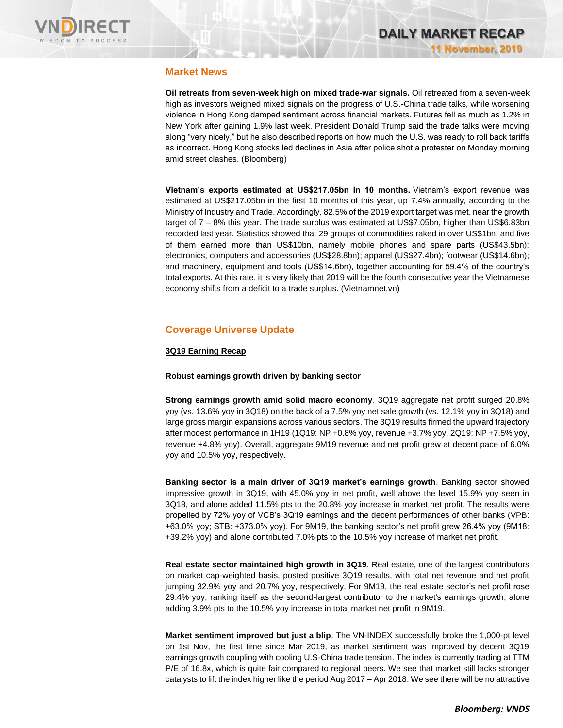

### **Market News**

**Oil retreats from seven-week high on mixed trade-war signals.** Oil retreated from a seven-week high as investors weighed mixed signals on the progress of U.S.-China trade talks, while worsening violence in Hong Kong damped sentiment across financial markets. Futures fell as much as 1.2% in New York after gaining 1.9% last week. President Donald Trump said the trade talks were moving along "very nicely," but he also described reports on how much the U.S. was ready to roll back tariffs as incorrect. Hong Kong stocks led declines in Asia after police shot a protester on Monday morning amid street clashes. (Bloomberg)

**Vietnam's exports estimated at US\$217.05bn in 10 months.** Vietnam's export revenue was estimated at US\$217.05bn in the first 10 months of this year, up 7.4% annually, according to the Ministry of Industry and Trade. Accordingly, 82.5% of the 2019 export target was met, near the growth target of 7 – 8% this year. The trade surplus was estimated at US\$7.05bn, higher than US\$6.83bn recorded last year. Statistics showed that 29 groups of commodities raked in over US\$1bn, and five of them earned more than US\$10bn, namely mobile phones and spare parts (US\$43.5bn); electronics, computers and accessories (US\$28.8bn); apparel (US\$27.4bn); footwear (US\$14.6bn); and machinery, equipment and tools (US\$14.6bn), together accounting for 59.4% of the country's total exports. At this rate, it is very likely that 2019 will be the fourth consecutive year the Vietnamese economy shifts from a deficit to a trade surplus. (Vietnamnet.vn)

## **Coverage Universe Update**

### **3Q19 Earning Recap**

### **Robust earnings growth driven by banking sector**

**Strong earnings growth amid solid macro economy**. 3Q19 aggregate net profit surged 20.8% yoy (vs. 13.6% yoy in 3Q18) on the back of a 7.5% yoy net sale growth (vs. 12.1% yoy in 3Q18) and large gross margin expansions across various sectors. The 3Q19 results firmed the upward trajectory after modest performance in 1H19 (1Q19: NP +0.8% yoy, revenue +3.7% yoy. 2Q19: NP +7.5% yoy, revenue +4.8% yoy). Overall, aggregate 9M19 revenue and net profit grew at decent pace of 6.0% yoy and 10.5% yoy, respectively.

**Banking sector is a main driver of 3Q19 market's earnings growth**. Banking sector showed impressive growth in 3Q19, with 45.0% yoy in net profit, well above the level 15.9% yoy seen in 3Q18, and alone added 11.5% pts to the 20.8% yoy increase in market net profit. The results were propelled by 72% yoy of VCB's 3Q19 earnings and the decent performances of other banks (VPB: +63.0% yoy; STB: +373.0% yoy). For 9M19, the banking sector's net profit grew 26.4% yoy (9M18: +39.2% yoy) and alone contributed 7.0% pts to the 10.5% yoy increase of market net profit.

**Real estate sector maintained high growth in 3Q19**. Real estate, one of the largest contributors on market cap-weighted basis, posted positive 3Q19 results, with total net revenue and net profit jumping 32.9% yoy and 20.7% yoy, respectively. For 9M19, the real estate sector's net profit rose 29.4% yoy, ranking itself as the second-largest contributor to the market's earnings growth, alone adding 3.9% pts to the 10.5% yoy increase in total market net profit in 9M19.

**Market sentiment improved but just a blip**. The VN-INDEX successfully broke the 1,000-pt level on 1st Nov, the first time since Mar 2019, as market sentiment was improved by decent 3Q19 earnings growth coupling with cooling U.S-China trade tension. The index is currently trading at TTM P/E of 16.8x, which is quite fair compared to regional peers. We see that market still lacks stronger catalysts to lift the index higher like the period Aug 2017 – Apr 2018. We see there will be no attractive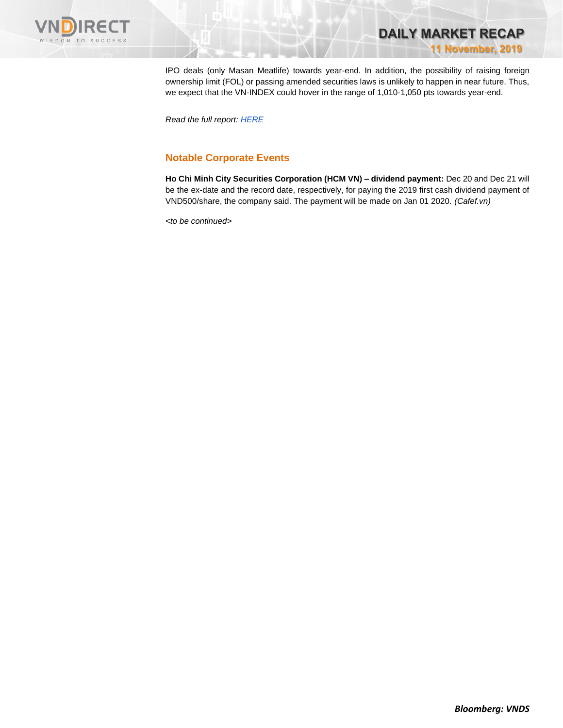

IPO deals (only Masan Meatlife) towards year-end. In addition, the possibility of raising foreign ownership limit (FOL) or passing amended securities laws is unlikely to happen in near future. Thus, we expect that the VN-INDEX could hover in the range of 1,010-1,050 pts towards year-end.

**DAILY MARKET RECAP** 

**11 November, 2019**

*Read the full report: [HERE](https://apc01.safelinks.protection.outlook.com/?url=https%3A%2F%2Fnhanha-public-api.vndirect.com.vn%2Fclick%2FOGE0ODlmZDA2ODYwMjZlMjAxNjg5OGJlM2IzNDMxODU%3D%2FMDZhMGRhMTQ1MTZjNDdjNzg4YWNjYzljYjA4NDUwN2M%3D%2F06a0da14516c47c788accc9cb084507c-MarketStrategy_Earningsrecap_20191111.pdf%2FcmVzZWFyY2hAdm5kaXJlY3QuY29tLnZu%2FMTE5NzY%3D&data=01%7C01%7Ctrung.phanthanh%40vndirect.com.vn%7C5494d516bfab4f9bd9d308d7664f7e8a%7C205877dd7b5242a0869607cbd63de0f4%7C0&sdata=0YEuzcoNYuYkQ4iWstBo8wcBWiHsnuDJ51M%2BIigo9X8%3D&reserved=0)*

## **Notable Corporate Events**

**Ho Chi Minh City Securities Corporation (HCM VN) – dividend payment:** Dec 20 and Dec 21 will be the ex-date and the record date, respectively, for paying the 2019 first cash dividend payment of VND500/share, the company said. The payment will be made on Jan 01 2020. *(Cafef.vn)*

*<to be continued>*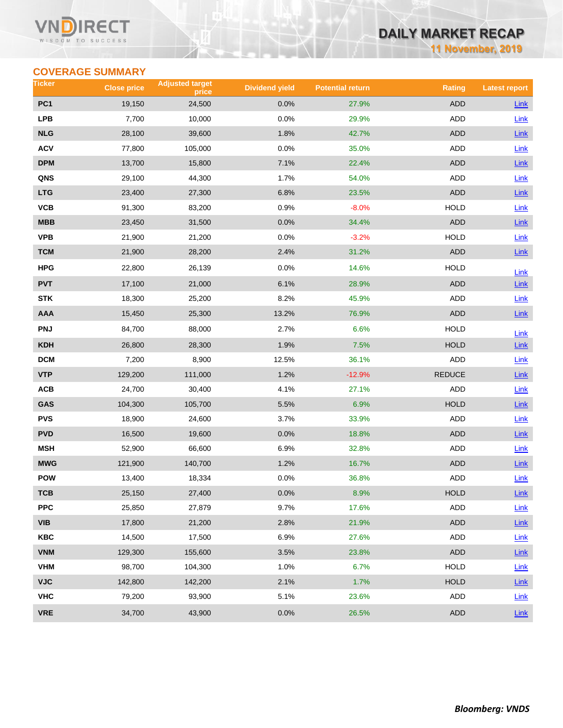### VI ECT WISDOM TO SUCCESS

## **DAILY MARKET RECAP**

**11 November, 2019**

## **COVERAGE SUMMARY**

| Ticker          | <b>Close price</b> | <b>Adjusted target</b><br>price | <b>Dividend yield</b> | <b>Potential return</b> | <b>Rating</b> | <b>Latest report</b> |
|-----------------|--------------------|---------------------------------|-----------------------|-------------------------|---------------|----------------------|
| PC <sub>1</sub> | 19,150             | 24,500                          | 0.0%                  | 27.9%                   | <b>ADD</b>    | <b>Link</b>          |
| <b>LPB</b>      | 7,700              | 10,000                          | 0.0%                  | 29.9%                   | ADD           | Link                 |
| <b>NLG</b>      | 28,100             | 39,600                          | 1.8%                  | 42.7%                   | <b>ADD</b>    | Link                 |
| <b>ACV</b>      | 77,800             | 105,000                         | 0.0%                  | 35.0%                   | ADD           | Link                 |
| <b>DPM</b>      | 13,700             | 15,800                          | 7.1%                  | 22.4%                   | <b>ADD</b>    | <b>Link</b>          |
| QNS             | 29,100             | 44,300                          | 1.7%                  | 54.0%                   | ADD           | <b>Link</b>          |
| <b>LTG</b>      | 23,400             | 27,300                          | 6.8%                  | 23.5%                   | <b>ADD</b>    | <b>Link</b>          |
| <b>VCB</b>      | 91,300             | 83,200                          | 0.9%                  | $-8.0%$                 | <b>HOLD</b>   | Link                 |
| MBB             | 23,450             | 31,500                          | 0.0%                  | 34.4%                   | <b>ADD</b>    | Link                 |
| <b>VPB</b>      | 21,900             | 21,200                          | 0.0%                  | $-3.2%$                 | <b>HOLD</b>   | Link                 |
| <b>TCM</b>      | 21,900             | 28,200                          | 2.4%                  | 31.2%                   | <b>ADD</b>    | <b>Link</b>          |
| <b>HPG</b>      | 22,800             | 26,139                          | 0.0%                  | 14.6%                   | <b>HOLD</b>   | Link                 |
| <b>PVT</b>      | 17,100             | 21,000                          | 6.1%                  | 28.9%                   | <b>ADD</b>    | <b>Link</b>          |
| <b>STK</b>      | 18,300             | 25,200                          | 8.2%                  | 45.9%                   | <b>ADD</b>    | Link                 |
| AAA             | 15,450             | 25,300                          | 13.2%                 | 76.9%                   | <b>ADD</b>    | Link                 |
| <b>PNJ</b>      | 84,700             | 88,000                          | 2.7%                  | 6.6%                    | <b>HOLD</b>   | Link                 |
| <b>KDH</b>      | 26,800             | 28,300                          | 1.9%                  | 7.5%                    | <b>HOLD</b>   | <b>Link</b>          |
| <b>DCM</b>      | 7,200              | 8,900                           | 12.5%                 | 36.1%                   | ADD           | Link                 |
| <b>VTP</b>      | 129,200            | 111,000                         | 1.2%                  | $-12.9%$                | <b>REDUCE</b> | <b>Link</b>          |
| ACB             | 24,700             | 30,400                          | 4.1%                  | 27.1%                   | ADD           | Link                 |
| GAS             | 104,300            | 105,700                         | 5.5%                  | 6.9%                    | <b>HOLD</b>   | Link                 |
| <b>PVS</b>      | 18,900             | 24,600                          | 3.7%                  | 33.9%                   | ADD           | Link                 |
| <b>PVD</b>      | 16,500             | 19,600                          | 0.0%                  | 18.8%                   | <b>ADD</b>    | <b>Link</b>          |
| <b>MSH</b>      | 52,900             | 66,600                          | 6.9%                  | 32.8%                   | ADD           | Link                 |
| <b>MWG</b>      | 121,900            | 140,700                         | 1.2%                  | 16.7%                   | <b>ADD</b>    | <b>Link</b>          |
| <b>POW</b>      | 13,400             | 18,334                          | 0.0%                  | 36.8%                   | <b>ADD</b>    | Link                 |
| TCB             | 25,150             | 27,400                          | 0.0%                  | 8.9%                    | <b>HOLD</b>   | <b>Link</b>          |
| <b>PPC</b>      | 25,850             | 27,879                          | 9.7%                  | 17.6%                   | ADD           | Link                 |
| <b>VIB</b>      | 17,800             | 21,200                          | 2.8%                  | 21.9%                   | <b>ADD</b>    | <b>Link</b>          |
| <b>KBC</b>      | 14,500             | 17,500                          | 6.9%                  | 27.6%                   | ADD           | Link                 |
| <b>VNM</b>      | 129,300            | 155,600                         | 3.5%                  | 23.8%                   | <b>ADD</b>    | <b>Link</b>          |
| <b>VHM</b>      | 98,700             | 104,300                         | 1.0%                  | 6.7%                    | <b>HOLD</b>   | Link                 |
| <b>VJC</b>      | 142,800            | 142,200                         | 2.1%                  | 1.7%                    | <b>HOLD</b>   | <b>Link</b>          |
| <b>VHC</b>      | 79,200             | 93,900                          | 5.1%                  | 23.6%                   | ADD           | Link                 |
| <b>VRE</b>      | 34,700             | 43,900                          | 0.0%                  | 26.5%                   | <b>ADD</b>    | <b>Link</b>          |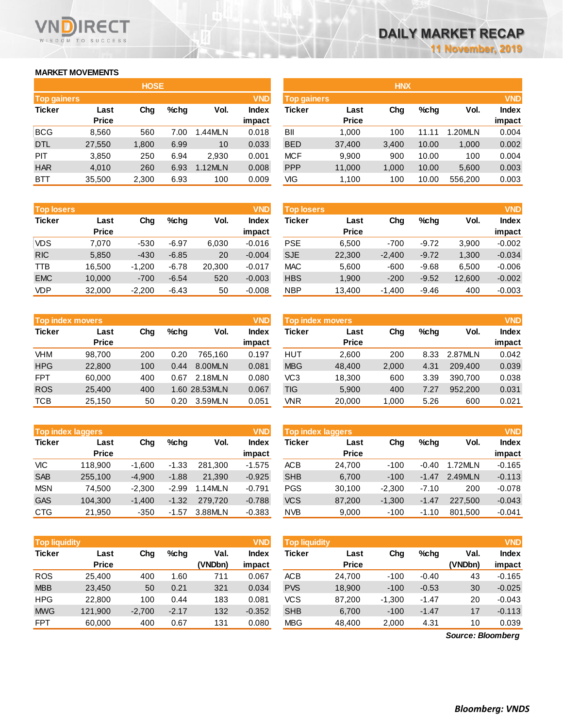## **MARKET MOVEMENTS**

WISDOM TO SUCCESS

**RECT** 

n

| <b>HOSE</b>        |              |       |      |         |              |  |  |  |  |
|--------------------|--------------|-------|------|---------|--------------|--|--|--|--|
| <b>Top gainers</b> |              |       |      |         | <b>VND</b>   |  |  |  |  |
| <b>Ticker</b>      | Last         | Cha   | %chq | Vol.    | <b>Index</b> |  |  |  |  |
|                    | <b>Price</b> |       |      |         | impact       |  |  |  |  |
| <b>BCG</b>         | 8,560        | 560   | 7.00 | 1.44MLN | 0.018        |  |  |  |  |
| <b>DTL</b>         | 27,550       | 1,800 | 6.99 | 10      | 0.033        |  |  |  |  |
| PIT                | 3,850        | 250   | 6.94 | 2,930   | 0.001        |  |  |  |  |
| <b>HAR</b>         | 4,010        | 260   | 6.93 | 1.12MLN | 0.008        |  |  |  |  |
| BTT                | 35,500       | 2,300 | 6.93 | 100     | 0.009        |  |  |  |  |

| <b>Top losers</b> |              |          |         |        | <b>VND</b>   |
|-------------------|--------------|----------|---------|--------|--------------|
| <b>Ticker</b>     | Last         | Cha      | %chq    | Vol.   | <b>Index</b> |
|                   | <b>Price</b> |          |         |        | impact       |
| VDS               | 7.070        | -530     | $-6.97$ | 6,030  | $-0.016$     |
| <b>RIC</b>        | 5,850        | $-430$   | $-6.85$ | 20     | $-0.004$     |
| TTB               | 16,500       | $-1,200$ | $-6.78$ | 20,300 | $-0.017$     |
| <b>EMC</b>        | 10,000       | $-700$   | $-6.54$ | 520    | $-0.003$     |
| VDP               | 32,000       | $-2,200$ | $-6.43$ | 50     | $-0.008$     |

|               | <b>Top index movers</b> |     |      |               |              |  |  |  |  |  |
|---------------|-------------------------|-----|------|---------------|--------------|--|--|--|--|--|
| <b>Ticker</b> | Last                    | Cha | %chq | Vol.          | <b>Index</b> |  |  |  |  |  |
|               | <b>Price</b>            |     |      |               | impact       |  |  |  |  |  |
| <b>VHM</b>    | 98,700                  | 200 | 0.20 | 765,160       | 0.197        |  |  |  |  |  |
| <b>HPG</b>    | 22,800                  | 100 | 0.44 | 8.00MLN       | 0.081        |  |  |  |  |  |
| <b>FPT</b>    | 60,000                  | 400 | 0.67 | 2.18MLN       | 0.080        |  |  |  |  |  |
| <b>ROS</b>    | 25,400                  | 400 |      | 1.60 28.53MLN | 0.067        |  |  |  |  |  |
| <b>TCB</b>    | 25,150                  | 50  | 0.20 | 3.59MLN       | 0.051        |  |  |  |  |  |

| <b>VND</b><br><b>Top index laggers</b> |              |          |         |         |              |  |  |  |  |
|----------------------------------------|--------------|----------|---------|---------|--------------|--|--|--|--|
| <b>Ticker</b>                          | Last         | Cha      | %chq    | Vol.    | <b>Index</b> |  |  |  |  |
|                                        | <b>Price</b> |          |         |         | impact       |  |  |  |  |
| VIC                                    | 118,900      | $-1,600$ | $-1.33$ | 281,300 | $-1.575$     |  |  |  |  |
| <b>SAB</b>                             | 255,100      | $-4,900$ | $-1.88$ | 21,390  | $-0.925$     |  |  |  |  |
| <b>MSN</b>                             | 74.500       | $-2,300$ | $-2.99$ | 1.14MLN | $-0.791$     |  |  |  |  |
| <b>GAS</b>                             | 104,300      | $-1,400$ | $-1.32$ | 279.720 | $-0.788$     |  |  |  |  |
| <b>CTG</b>                             | 21,950       | $-350$   | -1.57   | 3.88MLN | $-0.383$     |  |  |  |  |

| <b>VND</b><br><b>Top liquidity</b> |              |          |         |         |              |  |  |  |  |  |
|------------------------------------|--------------|----------|---------|---------|--------------|--|--|--|--|--|
| <b>Ticker</b>                      | Last         | Cha      | %chq    | Val.    | <b>Index</b> |  |  |  |  |  |
|                                    | <b>Price</b> |          |         | (VNDbn) | impact       |  |  |  |  |  |
| <b>ROS</b>                         | 25.400       | 400      | 1.60    | 711     | 0.067        |  |  |  |  |  |
| <b>MBB</b>                         | 23,450       | 50       | 0.21    | 321     | 0.034        |  |  |  |  |  |
| <b>HPG</b>                         | 22,800       | 100      | 0.44    | 183     | 0.081        |  |  |  |  |  |
| <b>MWG</b>                         | 121,900      | $-2,700$ | $-2.17$ | 132     | $-0.352$     |  |  |  |  |  |
| <b>FPT</b>                         | 60.000       | 400      | 0.67    | 131     | 0.080        |  |  |  |  |  |

| <b>HOSE</b>  |                    |         |         |              |            | <b>HNX</b>   |                    |       |         |              |  |
|--------------|--------------------|---------|---------|--------------|------------|--------------|--------------------|-------|---------|--------------|--|
|              |                    |         |         | <b>VND</b>   |            |              |                    |       |         | <b>VND</b>   |  |
| Last         | Chg                | $%$ chq | Vol.    | <b>Index</b> | Ticker     | Last         | Chg                | %chq  | Vol.    | <b>Index</b> |  |
| <b>Price</b> |                    |         |         | impact       |            | <b>Price</b> |                    |       |         | impact       |  |
| 8,560        | 560                | 7.00    | 1.44MLN | 0.018        | BII        | 1.000        | 100                | 11.11 | .20MLN  | 0.004        |  |
| 27,550       | 1,800              | 6.99    | 10      | 0.033        | <b>BED</b> | 37,400       | 3,400              | 10.00 | 1,000   | 0.002        |  |
| 3,850        | 250                | 6.94    | 2,930   | 0.001        | <b>MCF</b> | 9,900        | 900                | 10.00 | 100     | 0.004        |  |
| 4,010        | 260                | 6.93    | 1.12MLN | 0.008        | <b>PPP</b> | 11,000       | 1,000              | 10.00 | 5,600   | 0.003        |  |
| 35,500       | 2,300              | 6.93    | 100     | 0.009        | VIG        | 1,100        | 100                | 10.00 | 556,200 | 0.003        |  |
|              | <b>Top gainers</b> |         |         |              |            |              | <b>Top gainers</b> |       |         |              |  |

| <b>Top losers</b> |              |          |         |        | <b>VND</b> | <b>Top losers</b> |              |          |         |        | <b>VND</b>   |
|-------------------|--------------|----------|---------|--------|------------|-------------------|--------------|----------|---------|--------|--------------|
| Ticker            | Last         | Chg      | $%$ chq | Vol.   | Index      | Ticker            | Last         | Chg      | $%$ chq | Vol.   | <b>Index</b> |
|                   | <b>Price</b> |          |         |        | impact     |                   | <b>Price</b> |          |         |        | impact       |
| VDS               | 7,070        | $-530$   | $-6.97$ | 6,030  | $-0.016$   | <b>PSE</b>        | 6,500        | $-700$   | $-9.72$ | 3,900  | $-0.002$     |
| <b>RIC</b>        | 5,850        | $-430$   | $-6.85$ | 20     | $-0.004$   | <b>SJE</b>        | 22,300       | $-2.400$ | $-9.72$ | 1,300  | $-0.034$     |
| TTB               | 16.500       | $-1,200$ | $-6.78$ | 20,300 | $-0.017$   | <b>MAC</b>        | 5,600        | $-600$   | $-9.68$ | 6,500  | $-0.006$     |
| <b>EMC</b>        | 10,000       | $-700$   | $-6.54$ | 520    | $-0.003$   | <b>HBS</b>        | 1,900        | $-200$   | $-9.52$ | 12,600 | $-0.002$     |
| <b>VDP</b>        | 32,000       | $-2,200$ | $-6.43$ | 50     | $-0.008$   | <b>NBP</b>        | 13,400       | $-1,400$ | $-9.46$ | 400    | $-0.003$     |
|                   |              |          |         |        |            |                   |              |          |         |        |              |

|            | <b>VND</b><br><b>Top index movers</b> |     |      |               |              |            | Top index movers |       |      |         |              |  |
|------------|---------------------------------------|-----|------|---------------|--------------|------------|------------------|-------|------|---------|--------------|--|
| Ticker     | Last                                  | Chg | %chq | Vol.          | <b>Index</b> | Ticker     | Last             | Chg   | %chq | Vol.    | <b>Index</b> |  |
|            | <b>Price</b>                          |     |      |               | impact       |            | <b>Price</b>     |       |      |         | impact       |  |
| VHM        | 98.700                                | 200 | 0.20 | 765.160       | 0.197        | <b>HUT</b> | 2,600            | 200   | 8.33 | 2.87MLN | 0.042        |  |
| <b>HPG</b> | 22,800                                | 100 | 0.44 | 8.00MLN       | 0.081        | <b>MBG</b> | 48,400           | 2,000 | 4.31 | 209,400 | 0.039        |  |
| <b>FPT</b> | 60.000                                | 400 | 0.67 | 2.18MLN       | 0.080        | VC3        | 18,300           | 600   | 3.39 | 390.700 | 0.038        |  |
| <b>ROS</b> | 25,400                                | 400 |      | 1.60 28.53MLN | 0.067        | TIG        | 5,900            | 400   | 7.27 | 952,200 | 0.031        |  |
| тсв        | 25,150                                | 50  | 0.20 | 3.59MLN       | 0.051        | <b>VNR</b> | 20,000           | 1,000 | 5.26 | 600     | 0.021        |  |
|            |                                       |     |      |               |              |            |                  |       |      |         |              |  |

|            | <b>VND</b><br><b>Top index laggers</b> |          |         |         |              |            | <b>VND</b><br><b>Top index laggers</b> |          |         |         |              |  |
|------------|----------------------------------------|----------|---------|---------|--------------|------------|----------------------------------------|----------|---------|---------|--------------|--|
| Ticker     | Last                                   | Chg      | $%$ chq | Vol.    | <b>Index</b> | Ticker     | Last                                   | Chg      | %chq    | Vol.    | <b>Index</b> |  |
|            | <b>Price</b>                           |          |         |         | impact       |            | <b>Price</b>                           |          |         |         | impact       |  |
| VIC        | 118.900                                | $-1.600$ | $-1.33$ | 281.300 | $-1.575$     | <b>ACB</b> | 24.700                                 | $-100$   | $-0.40$ | 1.72MLN | $-0.165$     |  |
| <b>SAB</b> | 255.100                                | $-4.900$ | $-1.88$ | 21.390  | $-0.925$     | <b>SHB</b> | 6,700                                  | $-100$   | $-1.47$ | 2.49MLN | $-0.113$     |  |
| MSN        | 74.500                                 | $-2.300$ | $-2.99$ | 1.14MLN | $-0.791$     | <b>PGS</b> | 30.100                                 | $-2.300$ | $-7.10$ | 200     | $-0.078$     |  |
| <b>GAS</b> | 104.300                                | $-1.400$ | $-1.32$ | 279.720 | $-0.788$     | <b>VCS</b> | 87,200                                 | $-1.300$ | $-1.47$ | 227,500 | $-0.043$     |  |
| CTG        | 21,950                                 | $-350$   | $-1.57$ | 3.88MLN | $-0.383$     | <b>NVB</b> | 9,000                                  | $-100$   | $-1.10$ | 801.500 | $-0.041$     |  |

| <b>Top liquidity</b> |              |          |         |         | <b>VND</b>   | <b>Top liquidity</b> |              |          |         |                   | <b>VND</b>   |
|----------------------|--------------|----------|---------|---------|--------------|----------------------|--------------|----------|---------|-------------------|--------------|
| <b>Ticker</b>        | Last         | Chg      | $%$ chq | Val.    | <b>Index</b> | Ticker               | Last         | Chg      | %chq    | Val.              | <b>Index</b> |
|                      | <b>Price</b> |          |         | (VNDbn) | impact       |                      | <b>Price</b> |          |         | (VNDbn)           | impact       |
| ROS                  | 25.400       | 400      | 1.60    | 711     | 0.067        | <b>ACB</b>           | 24,700       | $-100$   | $-0.40$ | 43                | $-0.165$     |
| <b>MBB</b>           | 23,450       | 50       | 0.21    | 321     | 0.034        | <b>PVS</b>           | 18,900       | $-100$   | $-0.53$ | 30                | $-0.025$     |
| HPG                  | 22,800       | 100      | 0.44    | 183     | 0.081        | <b>VCS</b>           | 87.200       | $-1,300$ | $-1.47$ | 20                | $-0.043$     |
| <b>MWG</b>           | 121,900      | $-2,700$ | $-2.17$ | 132     | $-0.352$     | <b>SHB</b>           | 6,700        | $-100$   | $-1.47$ | 17                | $-0.113$     |
| <b>FPT</b>           | 60,000       | 400      | 0.67    | 131     | 0.080        | <b>MBG</b>           | 48,400       | 2,000    | 4.31    | 10                | 0.039        |
|                      |              |          |         |         |              |                      |              |          |         | Source: Bloomberg |              |

*Source: Bloomberg*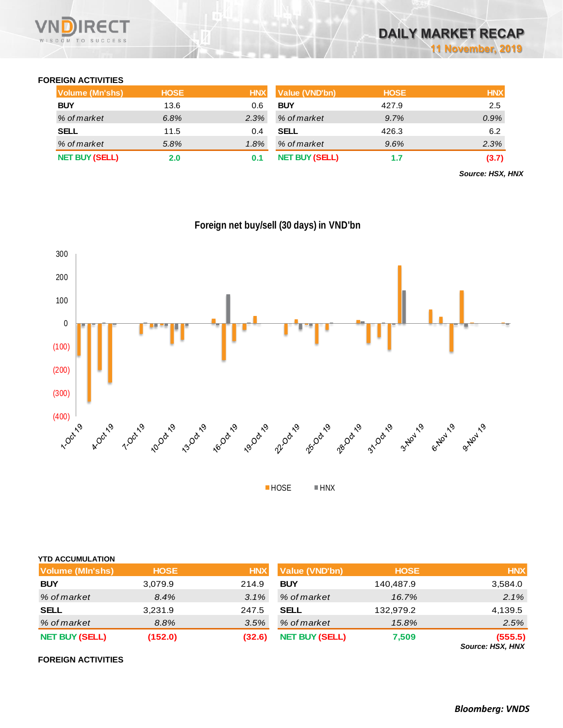

## **FOREIGN ACTIVITIES**

| Volume (Mn'shs)       | <b>HOSE</b> | <b>HNX</b> | <b>Value (VND'bn)</b> | <b>HOSE</b> | <b>HNX</b> |
|-----------------------|-------------|------------|-----------------------|-------------|------------|
| <b>BUY</b>            | 13.6        | 0.6        | <b>BUY</b>            | 427.9       | 2.5        |
| % of market           | 6.8%        | 2.3%       | % of market           | 9.7%        | $0.9\%$    |
| <b>SELL</b>           | 11.5        | 0.4        | <b>SELL</b>           | 426.3       | 6.2        |
| % of market           | 5.8%        | $1.8\%$    | % of market           | 9.6%        | 2.3%       |
| <b>NET BUY (SELL)</b> | 2.0         | 0.1        | <b>NET BUY (SELL)</b> | 1.7         | (3.7)      |

*Source: HSX, HNX*



**Foreign net buy/sell (30 days) in VND'bn**

■HOSE ■HNX

| <b>YTD ACCUMULATION</b> |             |            |                       |             |                             |
|-------------------------|-------------|------------|-----------------------|-------------|-----------------------------|
| <b>Volume (MIn'shs)</b> | <b>HOSE</b> | <b>HNX</b> | <b>Value (VND'bn)</b> | <b>HOSE</b> | <b>HNX</b>                  |
| <b>BUY</b>              | 3,079.9     | 214.9      | <b>BUY</b>            | 140,487.9   | 3,584.0                     |
| % of market             | 8.4%        | 3.1%       | % of market           | 16.7%       | 2.1%                        |
| <b>SELL</b>             | 3,231.9     | 247.5      | <b>SELL</b>           | 132,979.2   | 4,139.5                     |
| % of market             | 8.8%        | 3.5%       | % of market           | 15.8%       | 2.5%                        |
| <b>NET BUY (SELL)</b>   | (152.0)     | (32.6)     | <b>NET BUY (SELL)</b> | 7,509       | (555.5)<br>Source: HSX, HNX |

### **FOREIGN ACTIVITIES**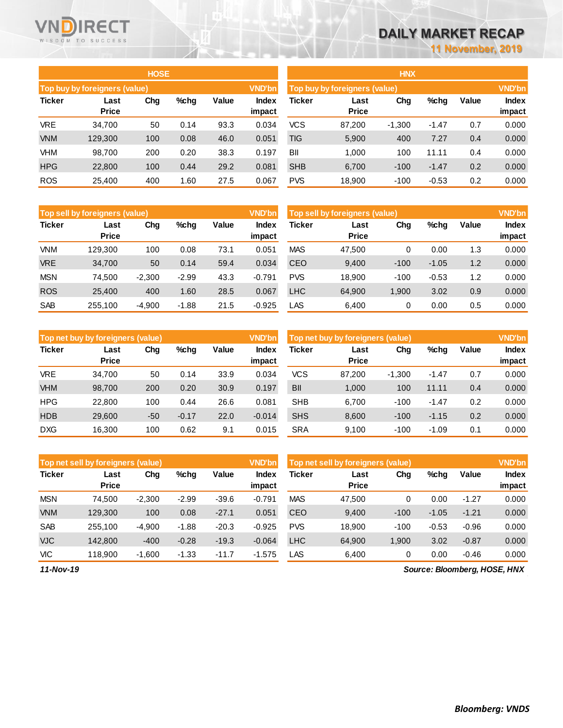# **DAILY MARKET RECAP**

**11 November, 2019**

|               |                               | <b>HOSE</b> |         |       |                        | <b>HNX</b>                    |                      |          |         |       |                 |  |
|---------------|-------------------------------|-------------|---------|-------|------------------------|-------------------------------|----------------------|----------|---------|-------|-----------------|--|
|               | Top buy by foreigners (value) |             |         |       | <b>VND'bn</b>          | Top buy by foreigners (value) |                      |          |         |       |                 |  |
| <b>Ticker</b> | Last<br><b>Price</b>          | Chg         | $%$ chg | Value | <b>Index</b><br>impact | Ticker                        | Last<br><b>Price</b> | Chg      | $%$ chg | Value | Index<br>impact |  |
| <b>VRE</b>    | 34,700                        | 50          | 0.14    | 93.3  | 0.034                  | <b>VCS</b>                    | 87,200               | $-1,300$ | $-1.47$ | 0.7   | 0.000           |  |
| <b>VNM</b>    | 129,300                       | 100         | 0.08    | 46.0  | 0.051                  | TIG                           | 5,900                | 400      | 7.27    | 0.4   | 0.000           |  |
| VHM           | 98,700                        | 200         | 0.20    | 38.3  | 0.197                  | BII                           | 1.000                | 100      | 11.11   | 0.4   | 0.000           |  |
| <b>HPG</b>    | 22,800                        | 100         | 0.44    | 29.2  | 0.081                  | <b>SHB</b>                    | 6,700                | $-100$   | $-1.47$ | 0.2   | 0.000           |  |
| <b>ROS</b>    | 25,400                        | 400         | 1.60    | 27.5  | 0.067                  | <b>PVS</b>                    | 18,900               | $-100$   | $-0.53$ | 0.2   | 0.000           |  |

|               | HNX                           |          |         |       |               |  |  |  |  |  |  |  |  |
|---------------|-------------------------------|----------|---------|-------|---------------|--|--|--|--|--|--|--|--|
|               | Top buy by foreigners (value) |          |         |       | <b>VND'bn</b> |  |  |  |  |  |  |  |  |
| <b>Ticker</b> | Last                          | Chq      | %chq    | Value | <b>Index</b>  |  |  |  |  |  |  |  |  |
|               | Price                         |          |         |       | impact        |  |  |  |  |  |  |  |  |
| <b>VCS</b>    | 87,200                        | $-1,300$ | $-1.47$ | 0.7   | 0.000         |  |  |  |  |  |  |  |  |
| <b>TIG</b>    | 5,900                         | 400      | 7.27    | 0.4   | 0.000         |  |  |  |  |  |  |  |  |
| ВII           | 1,000                         | 100      | 11.11   | 0.4   | 0.000         |  |  |  |  |  |  |  |  |
| <b>SHB</b>    | 6,700                         | $-100$   | $-1.47$ | 0.2   | 0.000         |  |  |  |  |  |  |  |  |
| <b>PVS</b>    | 18,900                        | $-100$   | $-0.53$ | 0.2   | 0.000         |  |  |  |  |  |  |  |  |

|               | <b>VND'bn</b><br>Top sell by foreigners (value) |          |         |       |                 |            | Top sell by foreigners (value) |        |         |       |                        |
|---------------|-------------------------------------------------|----------|---------|-------|-----------------|------------|--------------------------------|--------|---------|-------|------------------------|
| <b>Ticker</b> | Last<br><b>Price</b>                            | Chg      | %chg    | Value | Index<br>impact | Ticker     | Last<br><b>Price</b>           | Chg    | %chg    | Value | <b>Index</b><br>impact |
| <b>VNM</b>    | 129.300                                         | 100      | 0.08    | 73.1  | 0.051           | <b>MAS</b> | 47,500                         | 0      | 0.00    | 1.3   | 0.000                  |
| <b>VRE</b>    | 34,700                                          | 50       | 0.14    | 59.4  | 0.034           | <b>CEO</b> | 9.400                          | $-100$ | $-1.05$ | 1.2   | 0.000                  |
| <b>MSN</b>    | 74.500                                          | $-2,300$ | $-2.99$ | 43.3  | $-0.791$        | <b>PVS</b> | 18.900                         | $-100$ | $-0.53$ | 1.2   | 0.000                  |
| <b>ROS</b>    | 25,400                                          | 400      | 1.60    | 28.5  | 0.067           | <b>LHC</b> | 64.900                         | 1,900  | 3.02    | 0.9   | 0.000                  |
| <b>SAB</b>    | 255.100                                         | $-4,900$ | $-1.88$ | 21.5  | $-0.925$        | LAS        | 6.400                          | 0      | 0.00    | 0.5   | 0.000                  |

|               | <b>VND'bn</b><br>Top net buy by foreigners (value) |       |         |       |                 |            | Top net buy by foreigners (value) |          |         |       |                        |
|---------------|----------------------------------------------------|-------|---------|-------|-----------------|------------|-----------------------------------|----------|---------|-------|------------------------|
| <b>Ticker</b> | Last<br><b>Price</b>                               | Chg   | $%$ chq | Value | Index<br>impact | Ticker     | Last<br><b>Price</b>              | Chg      | %chg    | Value | <b>Index</b><br>impact |
| <b>VRE</b>    | 34.700                                             | 50    | 0.14    | 33.9  | 0.034           | <b>VCS</b> | 87,200                            | $-1,300$ | $-1.47$ | 0.7   | 0.000                  |
| <b>VHM</b>    | 98,700                                             | 200   | 0.20    | 30.9  | 0.197           | BII        | 1,000                             | 100      | 11.11   | 0.4   | 0.000                  |
| <b>HPG</b>    | 22,800                                             | 100   | 0.44    | 26.6  | 0.081           | <b>SHB</b> | 6.700                             | $-100$   | $-1.47$ | 0.2   | 0.000                  |
| <b>HDB</b>    | 29,600                                             | $-50$ | $-0.17$ | 22.0  | $-0.014$        | <b>SHS</b> | 8,600                             | $-100$   | $-1.15$ | 0.2   | 0.000                  |
| <b>DXG</b>    | 16,300                                             | 100   | 0.62    | 9.1   | 0.015           | <b>SRA</b> | 9,100                             | $-100$   | $-1.09$ | 0.1   | 0.000                  |

|               | Top net sell by foreigners (value) |          |         |         | <b>VND'bn</b> | Top net sell by foreigners (value), |              | <b>VND'bn</b> |         |         |              |
|---------------|------------------------------------|----------|---------|---------|---------------|-------------------------------------|--------------|---------------|---------|---------|--------------|
| <b>Ticker</b> | Last                               | Chg      | $%$ chg | Value   | Index         | Ticker                              | Last         | Chg           | $%$ chg | Value   | <b>Index</b> |
|               | <b>Price</b>                       |          |         |         | impact        |                                     | <b>Price</b> |               |         |         | impact       |
| <b>MSN</b>    | 74.500                             | $-2,300$ | $-2.99$ | $-39.6$ | $-0.791$      | <b>MAS</b>                          | 47,500       | 0             | 0.00    | $-1.27$ | 0.000        |
| <b>VNM</b>    | 129.300                            | 100      | 0.08    | $-27.1$ | 0.051         | <b>CEO</b>                          | 9,400        | $-100$        | $-1.05$ | $-1.21$ | 0.000        |
| <b>SAB</b>    | 255.100                            | $-4,900$ | $-1.88$ | $-20.3$ | $-0.925$      | <b>PVS</b>                          | 18.900       | $-100$        | $-0.53$ | $-0.96$ | 0.000        |
| <b>VJC</b>    | 142,800                            | $-400$   | $-0.28$ | $-19.3$ | $-0.064$      | <b>LHC</b>                          | 64.900       | 1.900         | 3.02    | $-0.87$ | 0.000        |
| <b>VIC</b>    | 118.900                            | $-1,600$ | $-1.33$ | $-11.7$ | $-1.575$      | LAS                                 | 6,400        | 0             | 0.00    | $-0.46$ | 0.000        |

*11-Nov-19*

VND

**RECT** 

WISDOM TO SUCCESS

*Source: Bloomberg, HOSE, HNX*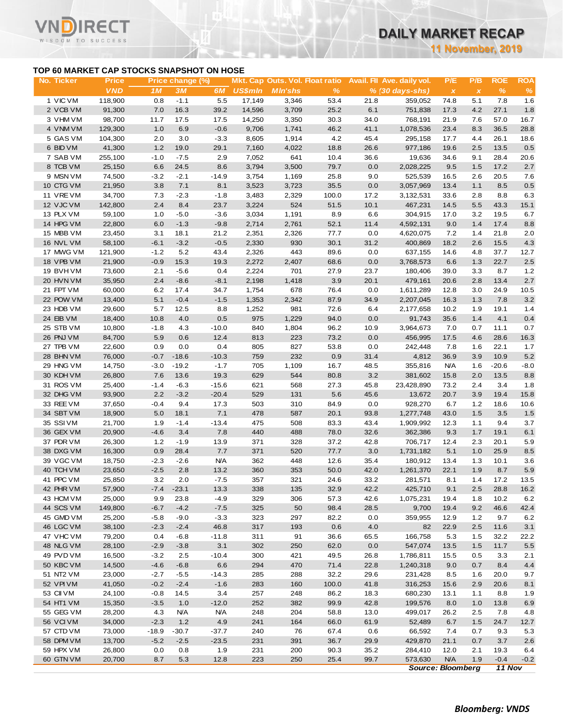**11 November, 2019**

### **TOP 60 MARKET CAP STOCKS SNAPSHOT ON HOSE**

ECT

|                                           |                   |            |                  |             |                  |                                        |              |             |                            | <b>11 November, 2019</b>  |              |             |            |
|-------------------------------------------|-------------------|------------|------------------|-------------|------------------|----------------------------------------|--------------|-------------|----------------------------|---------------------------|--------------|-------------|------------|
| TOP 60 MARKET CAP STOCKS SNAPSHOT ON HOSE |                   |            |                  |             |                  |                                        |              |             |                            |                           |              |             |            |
| No. Ticker                                | <b>Price</b>      |            | Price change (%) |             |                  | <b>Mkt. Cap Outs. Vol. Float ratio</b> |              |             | Avail. Fil Ave. daily vol. | P/E                       | P/B          | <b>ROE</b>  | <b>ROA</b> |
|                                           | <b>VND</b>        | 1M         | 3M               | 6M          | <b>US\$mln</b>   | <b>MIn'shs</b>                         | $\%$         |             | $% (30 days-shs)$          | $\boldsymbol{\mathsf{x}}$ | $\pmb{\chi}$ | $\%$        | $\%$       |
| 1 VIC VM<br>2 VCB VM                      | 118,900<br>91,300 | 0.8<br>7.0 | $-1.1$<br>16.3   | 5.5<br>39.2 | 17,149<br>14,596 | 3,346<br>3,709                         | 53.4<br>25.2 | 21.8<br>6.1 | 359,052<br>751,838         | 74.8<br>17.3              | 5.1<br>4.2   | 7.8<br>27.1 | 1.6<br>1.8 |
| 3 VHM VM                                  | 98,700            | 11.7       | 17.5             | 17.5        | 14,250           | 3,350                                  |              | 34.0        |                            | 21.9                      | 7.6          | 57.0        | 16.7       |
| 4 VNMVM                                   | 129,300           | 1.0        | 6.9              | $-0.6$      | 9,706            | 1,741                                  | 30.3<br>46.2 | 41.1        | 768,191<br>1,078,536       | 23.4                      | 8.3          | 36.5        | 28.8       |
| 5 GAS VM                                  | 104,300           | 2.0        | 3.0              | $-3.3$      | 8,605            | 1,914                                  | 4.2          | 45.4        | 295,158                    | 17.7                      | 4.4          | 26.1        | 18.6       |
| 6 BID VM                                  | 41,300            | 1.2        | 19.0             | 29.1        | 7,160            | 4,022                                  | 18.8         | 26.6        | 977,186                    | 19.6                      | 2.5          | 13.5        | 0.5        |
| 7 SAB VM                                  | 255,100           | $-1.0$     | $-7.5$           | 2.9         | 7,052            | 641                                    | 10.4         | 36.6        | 19,636                     | 34.6                      | 9.1          | 28.4        | 20.6       |
| 8 TCB VM                                  | 25,150            | 6.6        | 24.5             | 8.6         | 3,794            | 3,500                                  | 79.7         | 0.0         | 2,028,225                  | 9.5                       | 1.5          | 17.2        | 2.7        |
| 9 MSN VM                                  | 74,500            | $-3.2$     | $-2.1$           | $-14.9$     | 3,754            | 1,169                                  | 25.8         | 9.0         | 525,539                    | 16.5                      | 2.6          | 20.5        | 7.6        |
| 10 CTG VM                                 | 21,950            | 3.8        | 7.1              | 8.1         | 3,523            | 3,723                                  | 35.5         | 0.0         | 3,057,969                  | 13.4                      | 1.1          | 8.5         | 0.5        |
| 11 VREVM                                  | 34,700            | 7.3        | $-2.3$           | $-1.8$      | 3,483            | 2,329                                  | 100.0        | 17.2        | 3,132,531                  | 33.6                      | 2.8          | 8.8         | 6.3        |
| 12 VJC VM                                 | 142,800           | 2.4        | 8.4              | 23.7        | 3,224            | 524                                    | 51.5         | 10.1        | 467,231                    | 14.5                      | 5.5          | 43.3        | 15.1       |
| 13 PLX VM                                 | 59,100            | 1.0        | $-5.0$           | $-3.6$      | 3,034            | 1,191                                  | 8.9          | 6.6         | 304,915                    | 17.0                      | 3.2          | 19.5        | 6.7        |
| 14 HPG VM                                 | 22,800            | 6.0        | $-1.3$           | $-9.8$      | 2,714            | 2,761                                  | 52.1         | 11.4        | 4,592,131                  | 9.0                       | 1.4          | 17.4        | 8.8        |
| 15 MBB VM                                 | 23,450            | 3.1        | 18.1             | 21.2        | 2,351            | 2,326                                  | 77.7         | 0.0         | 4,620,075                  | 7.2                       | 1.4          | 21.8        | 2.0        |
| 16 NVL VM                                 | 58,100            | $-6.1$     | $-3.2$           | $-0.5$      | 2,330            | 930                                    | 30.1         | 31.2        | 400,869                    | 18.2                      | 2.6          | 15.5        | 4.3        |
| 17 MWG VM                                 | 121,900           | $-1.2$     | 5.2              | 43.4        | 2,326            | 443                                    | 89.6         | 0.0         | 637,155                    | 14.6                      | 4.8          | 37.7        | 12.7       |
| 18 VPB VM                                 | 21,900            | $-0.9$     | 15.3             | 19.3        | 2,272            | 2,407                                  | 68.6         | 0.0         | 3,768,573                  | 6.6                       | 1.3          | 22.7        | $2.5\,$    |
| 19 BVH VM                                 | 73,600            | 2.1        | $-5.6$           | 0.4         | 2,224            | 701                                    | 27.9         | 23.7        | 180,406                    | 39.0                      | 3.3          | 8.7         | 1.2        |
| 20 HVN VM                                 | 35,950            | 2.4        | $-8.6$           | $-8.1$      | 2,198            | 1,418                                  | 3.9          | 20.1        | 479,161                    | 20.6                      | 2.8          | 13.4        | $2.7\,$    |
| 21 FPT VM                                 | 60,000            | 6.2        | 17.4             | 34.7        | 1,754            | 678                                    | 76.4         | 0.0         | 1,611,289                  | 12.8                      | 3.0          | 24.9        | 10.5       |
| 22 POW VM                                 | 13,400            | 5.1        | $-0.4$           | $-1.5$      | 1,353            | 2,342                                  | 87.9         | 34.9        | 2,207,045                  | 16.3                      | 1.3          | 7.8         | 3.2        |
| 23 HDB VM                                 | 29,600            | 5.7        | 12.5             | 8.8         | 1,252            | 981                                    | 72.6         | 6.4         | 2,177,658                  | 10.2                      | 1.9          | 19.1        | 1.4        |
| 24 EIB VM                                 | 18,400            | 10.8       | 4.0              | 0.5         | 975              | 1,229                                  | 94.0         | 0.0         | 91,743                     | 35.6                      | 1.4          | 4.1         | 0.4        |
| 25 STB VM                                 | 10,800            | $-1.8$     | 4.3              | $-10.0$     | 840              | 1,804                                  | 96.2         | 10.9        | 3,964,673                  | 7.0                       | 0.7          | 11.1        | 0.7        |
| 26 PNJ VM                                 | 84,700            | 5.9        | 0.6              | 12.4        | 813              | 223                                    | 73.2         | 0.0         | 456,995                    | 17.5                      | 4.6          | 28.6        | 16.3       |
| 27 TPB VM                                 | 22,600            | 0.9        | 0.0              | 0.4         | 805              | 827                                    | 53.8         | 0.0         | 242,448                    | 7.8                       | 1.6          | 22.1        | 1.7        |
| 28 BHN VM                                 | 76,000            | $-0.7$     | $-18.6$          | $-10.3$     | 759              | 232                                    | 0.9          | 31.4        | 4,812                      | 36.9                      | 3.9          | 10.9        | 5.2        |
| 29 HNG VM                                 | 14,750            | $-3.0$     | $-19.2$          | $-1.7$      | 705              | 1,109                                  | 16.7         | 48.5        | 355,816                    | <b>N/A</b>                | 1.6          | $-20.6$     | $-8.0$     |
| 30 KDH VM                                 | 26,800            | 7.6        | 13.6             | 19.3        | 629              | 544                                    | 80.8         | 3.2         | 381,602                    | 15.8                      | 2.0          | 13.5        | 8.8        |
| 31 ROS VM                                 | 25,400            | $-1.4$     | $-6.3$           | $-15.6$     | 621              | 568                                    | 27.3         | 45.8        | 23,428,890                 | 73.2                      | 2.4          | 3.4         | 1.8        |
| 32 DHG VM                                 | 93,900            | 2.2        | $-3.2$           | $-20.4$     | 529              | 131                                    | 5.6          | 45.6        | 13,672                     | 20.7                      | 3.9          | 19.4        | 15.8       |
| 33 REE VM                                 | 37,650            | $-0.4$     | 9.4              | 17.3        | 503              | 310                                    | 84.9         | 0.0         | 928,270                    | 6.7                       | $1.2$        | 18.6        | 10.6       |
| 34 SBT VM                                 | 18,900            | 5.0        | 18.1             | 7.1         | 478              | 587                                    | 20.1         | 93.8        | 1,277,748                  | 43.0                      | 1.5          | 3.5         | $1.5$      |
| 35 SSI VM                                 | 21,700            | 1.9        | $-1.4$           | $-13.4$     | 475              | 508                                    | 83.3         | 43.4        | 1,909,992                  | 12.3                      | 1.1          | 9.4         | 3.7        |
| 36 GEX VM                                 | 20,900            | $-4.6$     | 3.4              | 7.8         | 440              | 488                                    | 78.0         | 32.6        | 362,386                    | 9.3                       | 1.7          | 19.1        | 6.1        |
| 37 PDR VM                                 | 26,300            | 1.2        | $-1.9$           | 13.9        | 371              | 328                                    | 37.2         | 42.8        | 706,717                    | 12.4                      | 2.3          | 20.1        | 5.9        |
| 38 DXG VM                                 | 16,300            | 0.9        | 28.4             | 7.7         | 371              | 520                                    | 77.7         | 3.0         | 1,731,182                  | 5.1                       | 1.0          | 25.9        | 8.5        |
| 39 VGC VM                                 | 18,750            | $-2.3$     | $-2.6$           | <b>N/A</b>  | 362              | 448                                    | 12.6         | 35.4        | 180,912                    | 13.4                      | 1.3          | 10.1        | 3.6        |
| 40 TCH VM                                 | 23,650            | $-2.5$     | 2.8              | 13.2        | 360              | 353                                    | 50.0         | 42.0        | 1,261,370                  | 22.1                      | 1.9          | 8.7         | $5.9\,$    |
| 41 PPC VM                                 | 25,850            | 3.2        | 2.0              | $-7.5$      | 357              | 321                                    | 24.6         | 33.2        | 281,571                    | 8.1                       | 1.4          | 17.2        | 13.5       |
| 42 PHR VM                                 | 57,900            | $-7.4$     | $-23.1$          | 13.3        | 338              | 135                                    | 32.9         | 42.2        | 425,710                    | 9.1                       | 2.5          | 28.8        | 16.2       |
| 43 HCM VM                                 | 25,000            | 9.9        | 23.8             | $-4.9$      | 329              | 306                                    | 57.3         | 42.6        | 1,075,231                  | 19.4                      | 1.8          | 10.2        | 6.2        |
| 44 SCS VM                                 | 149,800           | $-6.7$     | $-4.2$           | $-7.5$      | 325              | 50                                     | 98.4         | 28.5        | 9,700                      | 19.4                      | 9.2          | 46.6        | 42.4       |
| 45 GMD VM                                 | 25,200            | $-5.8$     | $-9.0$           | $-3.3$      | 323              | 297                                    | 82.2         | 0.0         | 359,955                    | 12.9                      | 1.2          | 9.7         | 6.2        |
| 46 LGC VM                                 | 38,100            | $-2.3$     | $-2.4$           | 46.8        | 317              | 193                                    | 0.6          | 4.0         | 82                         | 22.9                      | 2.5          | 11.6        | 3.1        |
| 47 VHC VM                                 | 79,200            | 0.4        | -6.8             | $-11.8$     | 311              | 91                                     | 36.6         | 65.5        | 166,758                    | 5.3                       | $1.5$        | 32.2        | 22.2       |
| 48 NLG VM                                 | 28,100            | $-2.9$     | $-3.8$           | 3.1         | 302              | 250                                    | 62.0         | 0.0         | 547,074                    | 13.5                      | 1.5          | 11.7        | 5.5        |
| 49 PVD VM                                 | 16,500            | $-3.2$     | 2.5              | $-10.4$     | 300              | 421                                    | 49.5         | 26.8        | 1,786,811                  | 15.5                      | 0.5          | 3.3         | 2.1        |
| 50 KBC VM                                 | 14,500            | $-4.6$     | $-6.8$           | 6.6         | 294              | 470                                    | 71.4         | 22.8        | 1,240,318                  | 9.0                       | 0.7          | 8.4         | 4.4        |
| 51 NT2 VM                                 | 23,000            | $-2.7$     | $-5.5$           | $-14.3$     | 285              | 288                                    | 32.2         | 29.6        | 231,428                    | 8.5                       | 1.6          | 20.0        | 9.7        |
| 52 VPIVM                                  | 41,050            | $-0.2$     | $-2.4$           | $-1.6$      | 283              | 160                                    | 100.0        | 41.8        | 316,253                    | 15.6                      | 2.9          | 20.6        | 8.1        |
| 53 CII VM                                 | 24,100            | $-0.8$     | 14.5             | 3.4         | 257              | 248                                    | 86.2         | 18.3        | 680,230                    | 13.1                      | 1.1          | 8.8         | 1.9        |
| 54 HT1 VM                                 | 15,350            | $-3.5$     | 1.0              | $-12.0$     | 252              | 382                                    | 99.9         | 42.8        | 199,576                    | 8.0                       | 1.0          | 13.8        | 6.9        |
| 55 GEG VM                                 | 28,200            | 4.3        | <b>N/A</b>       | N/A         | 248              | 204                                    | 58.8         | 13.0        | 499,017                    | 26.2                      | 2.5          | 7.8         | 4.8        |
| 56 VCIVM                                  | 34,000            | $-2.3$     | 1.2              | 4.9         | 241              | 164                                    | 66.0         | 61.9        | 52,489                     | 6.7                       | 1.5          | 24.7        | 12.7       |
| 57 CTD VM                                 | 73,000            | $-18.9$    | -30.7            | -37.7       | 240              | 76                                     | 67.4         | 0.6         | 66,592                     | 7.4                       | 0.7          | 9.3         | 5.3        |
| 58 DPM VM                                 | 13,700            | $-5.2$     | $-2.5$           | $-23.5$     | 231              | 391                                    | 36.7         | 29.9        | 429,870                    | 21.1                      | 0.7          | 3.7         | 2.6        |
| 59 HPX VM                                 | 26,800            | 0.0        | 0.8              | 1.9         | 231              | 200                                    | 90.3         | 35.2        | 284,410                    | 12.0                      | 2.1          | 19.3        | 6.4        |
| 60 GTN VM                                 | 20,700            | 8.7        | 5.3              | 12.8        | 223              | 250                                    | 25.4         | 99.7        | 573,630                    | <b>N/A</b>                | 1.9          | $-0.4$      | $-0.2$     |
|                                           |                   |            |                  |             |                  |                                        |              |             |                            | <b>Source: Bloomberg</b>  |              | 11 Nov      |            |